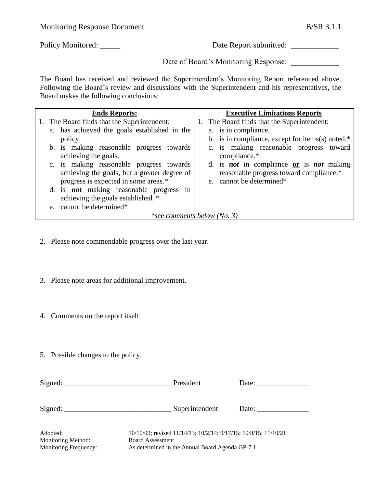Policy Monitored: \_\_\_\_\_ Date Report submitted: \_\_\_\_\_\_\_\_\_\_\_\_\_\_\_\_\_\_\_\_\_\_\_\_\_\_\_\_\_\_\_\_\_\_

Date of Board's Monitoring Response:

The Board has received and reviewed the Superintendent's Monitoring Report referenced above. Following the Board's review and discussions with the Superintendent and his representatives, the Board makes the following conclusions:

| <b>Ends Reports:</b>               |                                                | <b>Executive Limitations Reports</b>                     |  |  |
|------------------------------------|------------------------------------------------|----------------------------------------------------------|--|--|
|                                    | 1. The Board finds that the Superintendent:    | 1. The Board finds that the Superintendent:              |  |  |
|                                    | a. has achieved the goals established in the   | a. is in compliance.                                     |  |  |
|                                    | policy.                                        | b. is in compliance, except for items(s) noted. $*$      |  |  |
|                                    | b. is making reasonable progress towards       | c. is making reasonable progress toward                  |  |  |
|                                    | achieving the goals.                           | compliance.*                                             |  |  |
|                                    | c. is making reasonable progress towards       | d. is <i>not</i> in compliance $or$ is <i>not</i> making |  |  |
|                                    | achieving the goals, but a greater degree of   | reasonable progress toward compliance.*                  |  |  |
|                                    | progress is expected in some areas.*           | e. cannot be determined*                                 |  |  |
|                                    | d. is <i>not</i> making reasonable progress in |                                                          |  |  |
|                                    | achieving the goals established. *             |                                                          |  |  |
|                                    | e. cannot be determined*                       |                                                          |  |  |
| <i>*see comments below (No. 3)</i> |                                                |                                                          |  |  |

- 2. Please note commendable progress over the last year.
- 3. Please note areas for additional improvement.
- 4. Comments on the report itself.
- 5. Possible changes to the policy.

| $Sigma$ :                                               | President                                                                                                                                     | Date: |
|---------------------------------------------------------|-----------------------------------------------------------------------------------------------------------------------------------------------|-------|
| Signed: $\_\_$                                          | Superintendent                                                                                                                                | Date: |
| Adopted:<br>Monitoring Method:<br>Monitoring Frequency: | 10/10/09; revised 11/14/13; 10/2/14; 9/17/15; 10/8/15; 11/10/21<br><b>Board Assessment</b><br>As determined in the Annual Board Agenda GP-7.1 |       |